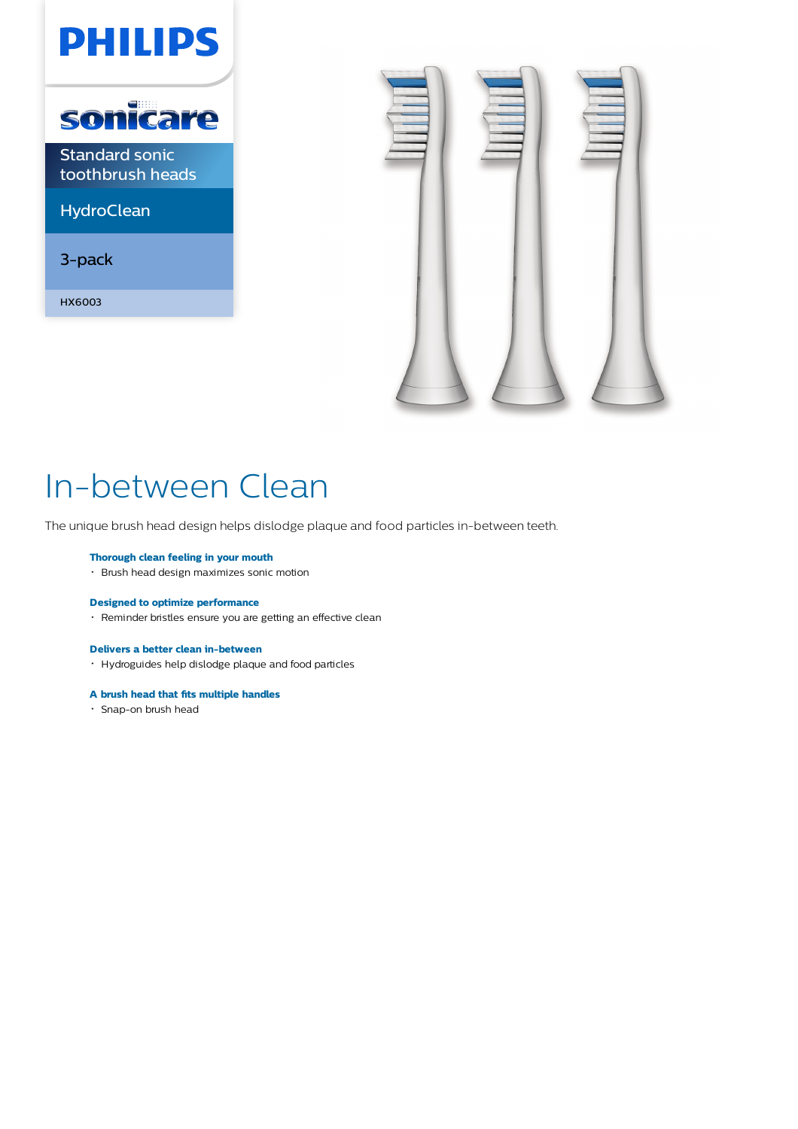



# In-between Clean

The unique brush head design helps dislodge plaque and food particles in-between teeth.

# **Thorough clean feeling in your mouth**

Brush head design maximizes sonic motion

# **Designed to optimize performance**

Reminder bristles ensure you are getting an effective clean

# **Delivers a better clean in-between**

Hydroguides help dislodge plaque and food particles

# **A brush head that fits multiple handles**

Snap-on brush head